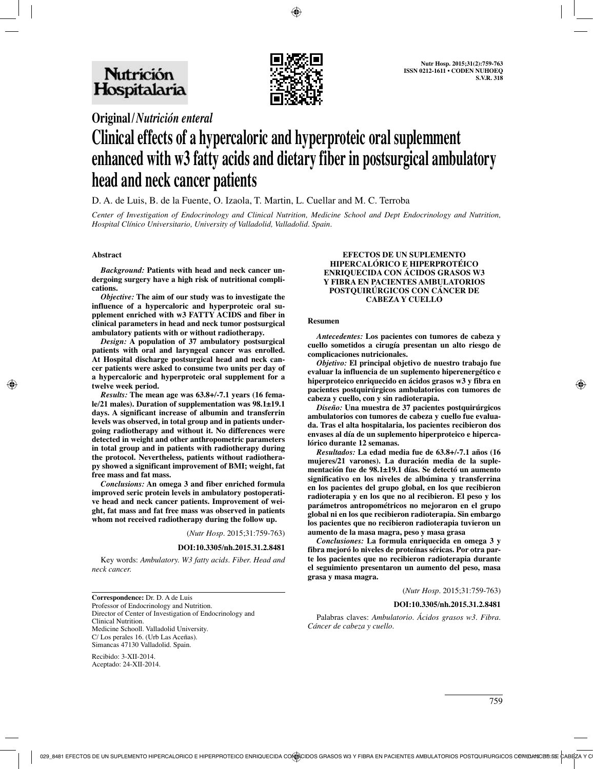

# **Original/***Nutrición enteral*

# **Clinical effects of a hypercaloric and hyperproteic oral suplemment enhanced with w3 fatty acids and dietary fiber in postsurgical ambulatory head and neck cancer patients**

D. A. de Luis, B. de la Fuente, O. Izaola, T. Martin, L. Cuellar and M. C. Terroba

*Center of Investigation of Endocrinology and Clinical Nutrition, Medicine School and Dept Endocrinology and Nutrition, Hospital Clínico Universitario, University of Valladolid, Valladolid. Spain.*

# **Abstract**

*Background:* **Patients with head and neck cancer undergoing surgery have a high risk of nutritional complications.**

*Objective:* **The aim of our study was to investigate the influence of a hypercaloric and hyperproteic oral supplement enriched with w3 FATTY ACIDS and fiber in clinical parameters in head and neck tumor postsurgical ambulatory patients with or without radiotherapy.** 

*Design:* **A population of 37 ambulatory postsurgical patients with oral and laryngeal cancer was enrolled. At Hospital discharge postsurgical head and neck cancer patients were asked to consume two units per day of a hypercaloric and hyperproteic oral supplement for a twelve week period.** 

*Results:* **The mean age was 63.8+/-7.1 years (16 female/21 males). Duration of supplementation was 98.1±19.1 days. A significant increase of albumin and transferrin levels was observed, in total group and in patients undergoing radiotherapy and without it. No differences were detected in weight and other anthropometric parameters in total group and in patients with radiotherapy during the protocol. Nevertheless, patients without radiotherapy showed a significant improvement of BMI; weight, fat free mass and fat mass.**

*Conclusions:* **An omega 3 and fiber enriched formula improved seric protein levels in ambulatory postoperative head and neck cancer patients. Improvement of weight, fat mass and fat free mass was observed in patients whom not received radiotherapy during the follow up.**

(*Nutr Hosp.* 2015;31:759-763)

#### **DOI:10.3305/nh.2015.31.2.8481**

Key words: *Ambulatory. W3 fatty acids. Fiber. Head and neck cancer.*

**Correspondence:** Dr. D. A de Luis Professor of Endocrinology and Nutrition. Director of Center of Investigation of Endocrinology and Clinical Nutrition. Medicine Schooll. Valladolid University. C/ Los perales 16. (Urb Las Aceñas). Simancas 47130 Valladolid. Spain.

Recibido: 3-XII-2014. Aceptado: 24-XII-2014.

#### **EFECTOS DE UN SUPLEMENTO HIPERCALÓRICO E HIPERPROTÉICO ENRIQUECIDA CON ÁCIDOS GRASOS W3 Y FIBRA EN PACIENTES AMBULATORIOS POSTQUIRÚRGICOS CON CÁNCER DE CABEZA Y CUELLO**

#### **Resumen**

*Antecedentes:* **Los pacientes con tumores de cabeza y cuello sometidos a cirugía presentan un alto riesgo de complicaciones nutricionales.** 

*Objetivo:* **El principal objetivo de nuestro trabajo fue evaluar la influencia de un suplemento hiperenergético e hiperproteico enriquecido en ácidos grasos w3 y fibra en pacientes postquirúrgicos ambulatorios con tumores de cabeza y cuello, con y sin radioterapia.** 

*Diseño:* **Una muestra de 37 pacientes postquirúrgicos ambulatorios con tumores de cabeza y cuello fue evaluada. Tras el alta hospitalaria, los pacientes recibieron dos envases al día de un suplemento hiperproteico e hipercalórico durante 12 semanas.** 

*Resultados:* **La edad media fue de 63.8+/-7.1 años (16 mujeres/21 varones). La duración media de la suplementación fue de 98.1±19.1 días. Se detectó un aumento significativo en los niveles de albúmina y transferrina en los pacientes del grupo global, en los que recibieron radioterapia y en los que no al recibieron. El peso y los parámetros antropométricos no mejoraron en el grupo global ni en los que recibieron radioterapia. Sin embargo los pacientes que no recibieron radioterapia tuvieron un aumento de la masa magra, peso y masa grasa** 

*Conclusiones:* **La formula enriquecida en omega 3 y fibra mejoró lo niveles de proteínas séricas. Por otra parte los pacientes que no recibieron radioterapia durante el seguimiento presentaron un aumento del peso, masa grasa y masa magra.** 

(*Nutr Hosp.* 2015;31:759-763)

#### **DOI:10.3305/nh.2015.31.2.8481**

Palabras claves: *Ambulatorio. Ácidos grasos w3. Fibra. Cáncer de cabeza y cuello.*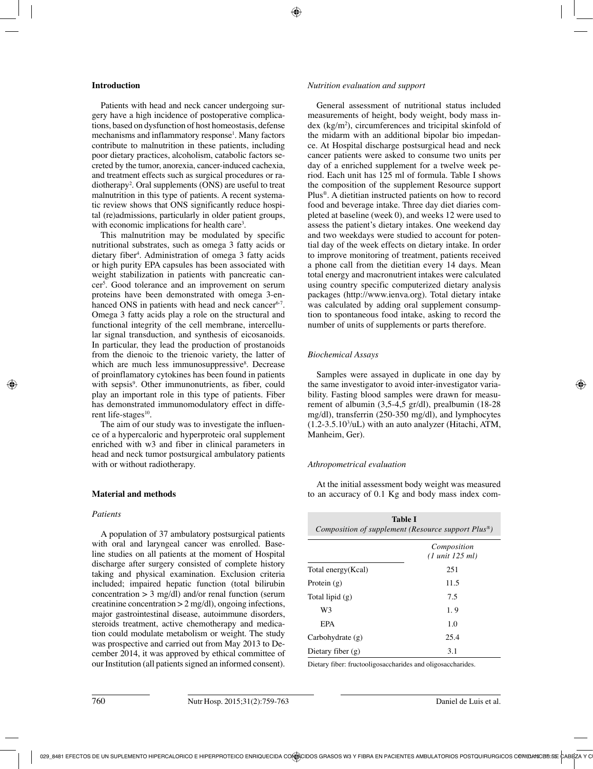# **Introduction**

Patients with head and neck cancer undergoing surgery have a high incidence of postoperative complications, based on dysfunction of host homeostasis, defense mechanisms and inflammatory response<sup>1</sup>. Many factors contribute to malnutrition in these patients, including poor dietary practices, alcoholism, catabolic factors secreted by the tumor, anorexia, cancer-induced cachexia, and treatment effects such as surgical procedures or radiotherapy2 . Oral supplements (ONS) are useful to treat malnutrition in this type of patients. A recent systematic review shows that ONS significantly reduce hospital (re)admissions, particularly in older patient groups, with economic implications for health care<sup>3</sup>.

This malnutrition may be modulated by specific nutritional substrates, such as omega 3 fatty acids or dietary fiber4 . Administration of omega 3 fatty acids or high purity EPA capsules has been associated with weight stabilization in patients with pancreatic cancer5 . Good tolerance and an improvement on serum proteins have been demonstrated with omega 3-enhanced ONS in patients with head and neck cancer<sup>6-7</sup>. Omega 3 fatty acids play a role on the structural and functional integrity of the cell membrane, intercellular signal transduction, and synthesis of eicosanoids. In particular, they lead the production of prostanoids from the dienoic to the trienoic variety, the latter of which are much less immunosuppressive<sup>8</sup>. Decrease of proinflamatory cytokines has been found in patients with sepsis<sup>9</sup>. Other immunonutrients, as fiber, could play an important role in this type of patients. Fiber has demonstrated immunomodulatory effect in different life-stages<sup>10</sup>.

The aim of our study was to investigate the influence of a hypercaloric and hyperproteic oral supplement enriched with w3 and fiber in clinical parameters in head and neck tumor postsurgical ambulatory patients with or without radiotherapy.

# **Material and methods**

# *Patients*

A population of 37 ambulatory postsurgical patients with oral and laryngeal cancer was enrolled. Baseline studies on all patients at the moment of Hospital discharge after surgery consisted of complete history taking and physical examination. Exclusion criteria included; impaired hepatic function (total bilirubin concentration  $> 3$  mg/dl) and/or renal function (serum creatinine concentration > 2 mg/dl), ongoing infections, major gastrointestinal disease, autoimmune disorders, steroids treatment, active chemotherapy and medication could modulate metabolism or weight. The study was prospective and carried out from May 2013 to December 2014, it was approved by ethical committee of our Institution (all patients signed an informed consent).

#### *Nutrition evaluation and support*

General assessment of nutritional status included measurements of height, body weight, body mass in $dex$  (kg/m<sup>2</sup>), circumferences and tricipital skinfold of the midarm with an additional bipolar bio impedance. At Hospital discharge postsurgical head and neck cancer patients were asked to consume two units per day of a enriched supplement for a twelve week period. Each unit has 125 ml of formula. Table I shows the composition of the supplement Resource support Plus®. A dietitian instructed patients on how to record food and beverage intake. Three day diet diaries completed at baseline (week 0), and weeks 12 were used to assess the patient's dietary intakes. One weekend day and two weekdays were studied to account for potential day of the week effects on dietary intake. In order to improve monitoring of treatment, patients received a phone call from the dietitian every 14 days. Mean total energy and macronutrient intakes were calculated using country specific computerized dietary analysis packages (http://www.ienva.org). Total dietary intake was calculated by adding oral supplement consumption to spontaneous food intake, asking to record the number of units of supplements or parts therefore.

#### *Biochemical Assays*

Samples were assayed in duplicate in one day by the same investigator to avoid inter-investigator variability. Fasting blood samples were drawn for measurement of albumin (3,5-4,5 gr/dl), prealbumin (18-28 mg/dl), transferrin (250-350 mg/dl), and lymphocytes  $(1.2-3.5.10<sup>3</sup>/uL)$  with an auto analyzer (Hitachi, ATM, Manheim, Ger).

# *Athropometrical evaluation*

At the initial assessment body weight was measured to an accuracy of 0.1 Kg and body mass index com-

| Table I<br>Composition of supplement (Resource support Plus <sup>®</sup> ) |                                                   |  |  |  |
|----------------------------------------------------------------------------|---------------------------------------------------|--|--|--|
|                                                                            | Composition<br>$(1 \text{ unit } 125 \text{ ml})$ |  |  |  |
| Total energy (Kcal)                                                        | 251                                               |  |  |  |
| Protein $(g)$                                                              | 11.5                                              |  |  |  |
| Total lipid $(g)$                                                          | 7.5                                               |  |  |  |
| W3                                                                         | 1.9                                               |  |  |  |
| EPA                                                                        | 1.0                                               |  |  |  |
| Carbohydrate $(g)$                                                         | 25.4                                              |  |  |  |
| Dietary fiber $(g)$                                                        | 3.1                                               |  |  |  |

Dietary fiber: fructooligosaccharides and oligosaccharides.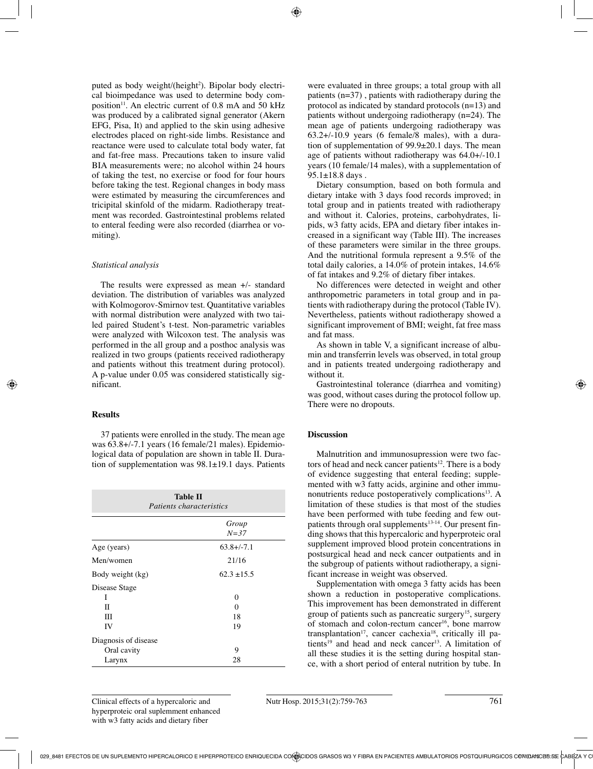puted as body weight/(height<sup>2</sup>). Bipolar body electrical bioimpedance was used to determine body composition<sup>11</sup>. An electric current of  $0.8$  mA and  $50$  kHz was produced by a calibrated signal generator (Akern EFG, Pisa, It) and applied to the skin using adhesive electrodes placed on right-side limbs. Resistance and reactance were used to calculate total body water, fat and fat-free mass. Precautions taken to insure valid BIA measurements were; no alcohol within 24 hours of taking the test, no exercise or food for four hours before taking the test. Regional changes in body mass were estimated by measuring the circumferences and tricipital skinfold of the midarm. Radiotherapy treatment was recorded. Gastrointestinal problems related to enteral feeding were also recorded (diarrhea or vomiting).

#### *Statistical analysis*

The results were expressed as mean +/- standard deviation. The distribution of variables was analyzed with Kolmogorov-Smirnov test. Quantitative variables with normal distribution were analyzed with two tailed paired Student's t-test. Non-parametric variables were analyzed with Wilcoxon test. The analysis was performed in the all group and a posthoc analysis was realized in two groups (patients received radiotherapy and patients without this treatment during protocol). A p-value under 0.05 was considered statistically significant.

# **Results**

37 patients were enrolled in the study. The mean age was 63.8+/-7.1 years (16 female/21 males). Epidemiological data of population are shown in table II. Duration of supplementation was 98.1±19.1 days. Patients

| <b>Table II</b><br><i>Patients characteristics</i> |                    |  |  |  |
|----------------------------------------------------|--------------------|--|--|--|
|                                                    | Group<br>$N = 37$  |  |  |  |
| Age (years)                                        | $63.8 + (-7.1)$    |  |  |  |
| Men/women                                          | 21/16              |  |  |  |
| Body weight (kg)                                   | $62.3 \pm 15.5$    |  |  |  |
| Disease Stage<br>Ι<br>H<br>Ш<br>IV                 | 0<br>0<br>18<br>19 |  |  |  |
| Diagnosis of disease<br>Oral cavity<br>Larynx      | 9<br>28            |  |  |  |

were evaluated in three groups; a total group with all patients (n=37) , patients with radiotherapy during the protocol as indicated by standard protocols (n=13) and patients without undergoing radiotherapy (n=24). The mean age of patients undergoing radiotherapy was 63.2+/-10.9 years (6 female/8 males), with a duration of supplementation of 99.9±20.1 days. The mean age of patients without radiotherapy was 64.0+/-10.1 years (10 female/14 males), with a supplementation of 95.1±18.8 days .

Dietary consumption, based on both formula and dietary intake with 3 days food records improved; in total group and in patients treated with radiotherapy and without it. Calories, proteins, carbohydrates, lipids, w3 fatty acids, EPA and dietary fiber intakes increased in a significant way (Table III). The increases of these parameters were similar in the three groups. And the nutritional formula represent a 9.5% of the total daily calories, a 14.0% of protein intakes, 14.6% of fat intakes and 9.2% of dietary fiber intakes.

No differences were detected in weight and other anthropometric parameters in total group and in patients with radiotherapy during the protocol (Table IV). Nevertheless, patients without radiotherapy showed a significant improvement of BMI; weight, fat free mass and fat mass.

As shown in table V, a significant increase of albumin and transferrin levels was observed, in total group and in patients treated undergoing radiotherapy and without it.

Gastrointestinal tolerance (diarrhea and vomiting) was good, without cases during the protocol follow up. There were no dropouts.

# **Discussion**

Malnutrition and immunosupression were two factors of head and neck cancer patients<sup>12</sup>. There is a body of evidence suggesting that enteral feeding; supplemented with w3 fatty acids, arginine and other immunonutrients reduce postoperatively complications<sup>13</sup>. A limitation of these studies is that most of the studies have been performed with tube feeding and few outpatients through oral supplements<sup>13-14</sup>. Our present finding shows that this hypercaloric and hyperproteic oral supplement improved blood protein concentrations in postsurgical head and neck cancer outpatients and in the subgroup of patients without radiotherapy, a significant increase in weight was observed.

Supplementation with omega 3 fatty acids has been shown a reduction in postoperative complications. This improvement has been demonstrated in different group of patients such as pancreatic surgery<sup>15</sup>, surgery of stomach and colon-rectum cancer<sup>16</sup>, bone marrow transplantation<sup>17</sup>, cancer cachexia<sup>18</sup>, critically ill patients<sup>19</sup> and head and neck cancer<sup>13</sup>. A limitation of all these studies it is the setting during hospital stance, with a short period of enteral nutrition by tube. In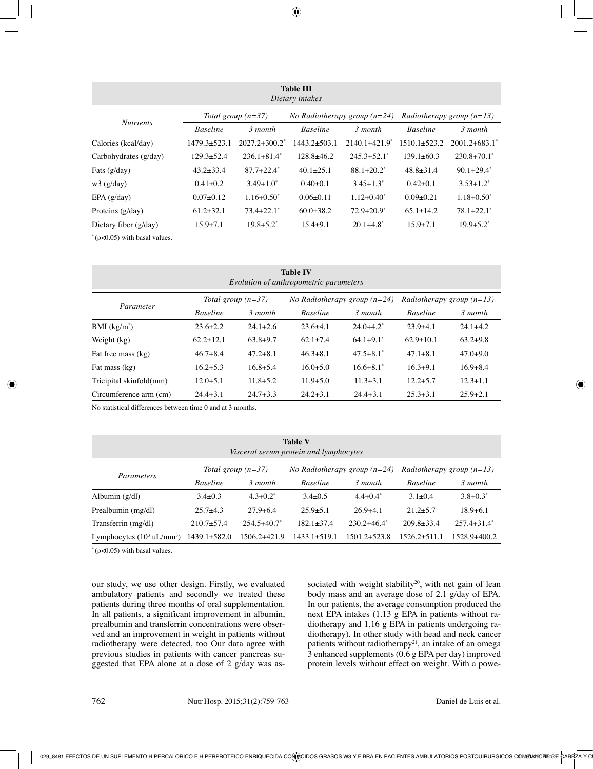| <b>Table III</b><br>Dietary intakes |                      |                    |                                |                               |                                    |                    |  |
|-------------------------------------|----------------------|--------------------|--------------------------------|-------------------------------|------------------------------------|--------------------|--|
| <b>Nutrients</b>                    | Total group $(n=37)$ |                    | No Radiotherapy group $(n=24)$ |                               | <i>Radiotherapy group</i> $(n=13)$ |                    |  |
|                                     | <b>Baseline</b>      | 3 month            | <b>Baseline</b>                | 3 month                       | <b>Baseline</b>                    | 3 month            |  |
| Calories (kcal/day)                 | $1479.3 \pm 523.1$   | $2027.2 + 300.2^*$ | $1443.2 \pm 503.1$             | $2140.1 + 421.9$ <sup>*</sup> | $1510.1 \pm 523.2$                 | $2001.2 + 683.1^*$ |  |
| Carbohydrates (g/day)               | $129.3 \pm 52.4$     | $236.1 + 81.4^*$   | $128.8 \pm 46.2$               | $245.3+52.1^*$                | $139.1 \pm 60.3$                   | $230.8 + 70.1^*$   |  |
| Fats $(g/day)$                      | $43.2 \pm 33.4$      | $87.7 + 22.4^*$    | $40.1 \pm 25.1$                | $88.1 + 20.2^*$               | $48.8 \pm 31.4$                    | $90.1+29.4^*$      |  |
| w3(g/day)                           | $0.41 \pm 0.2$       | $3.49 + 1.0^*$     | $0.40 \pm 0.1$                 | $3.45 + 1.3^*$                | $0.42\pm0.1$                       | $3.53 + 1.2^*$     |  |
| EPA(g/day)                          | $0.07+0.12$          | $1.16 + 0.50^*$    | $0.06 \pm 0.11$                | $1.12 + 0.40^*$               | $0.09 \pm 0.21$                    | $1.18 + 0.50^*$    |  |
| Proteins $(g/day)$                  | $61.2 \pm 32.1$      | $73.4 + 22.1^*$    | $60.0 \pm 38.2$                | $72.9 + 20.9^*$               | $65.1 \pm 14.2$                    | $78.1 + 22.1^*$    |  |
| Dietary fiber $(g/day)$             | $15.9 \pm 7.1$       | $19.8 + 5.2^*$     | $15.4 \pm 9.1$                 | $20.1 + 4.8^*$                | $15.9 \pm 7.1$                     | $19.9 + 5.2^*$     |  |

 $*(p<0.05)$  with basal values.

| <b>Table IV</b><br>Evolution of anthropometric parameters |                      |              |                                |                |                             |              |
|-----------------------------------------------------------|----------------------|--------------|--------------------------------|----------------|-----------------------------|--------------|
| Parameter                                                 | Total group $(n=37)$ |              | No Radiotherapy group $(n=24)$ |                | Radiotherapy group $(n=13)$ |              |
|                                                           | <b>Baseline</b>      | 3 month      | <b>Baseline</b>                | 3 month        | <b>Baseline</b>             | 3 month      |
| BMI $(kg/m2)$                                             | $23.6 \pm 2.2$       | $24.1 + 2.6$ | $23.6\pm4.1$                   | $24.0 + 4.2^*$ | $23.9+4.1$                  | $24.1 + 4.2$ |
| Weight (kg)                                               | $62.2 \pm 12.1$      | $63.8+9.7$   | $62.1 \pm 7.4$                 | $64.1+9.1*$    | $62.9 \pm 10.1$             | $63.2 + 9.8$ |
| Fat free mass (kg)                                        | $46.7 + 8.4$         | $47.2 + 8.1$ | $46.3 + 8.1$                   | $47.5 + 8.1^*$ | $47.1 + 8.1$                | $47.0 + 9.0$ |
| Fat mass (kg)                                             | $16.2 + 5.3$         | $16.8 + 5.4$ | $16.0 + 5.0$                   | $16.6 + 8.1^*$ | $16.3 + 9.1$                | $16.9 + 8.4$ |
| Tricipital skinfold(mm)                                   | $12.0 + 5.1$         | $11.8 + 5.2$ | $11.9 + 5.0$                   | $11.3 + 3.1$   | $12.2 + 5.7$                | $12.3 + 1.1$ |
| Circumference arm (cm)                                    | $24.4 + 3.1$         | $24.7 + 3.3$ | $24.2 + 3.1$                   | $24.4 + 3.1$   | $25.3 + 3.1$                | $25.9 + 2.1$ |

No statistical differences between time 0 and at 3 months.

| <b>Table V</b><br>Visceral serum protein and lymphocytes |                      |                  |                                |                |                             |                  |
|----------------------------------------------------------|----------------------|------------------|--------------------------------|----------------|-----------------------------|------------------|
| Parameters                                               | Total group $(n=37)$ |                  | No Radiotherapy group $(n=24)$ |                | Radiotherapy group $(n=13)$ |                  |
|                                                          | <b>Baseline</b>      | 3 month          | <b>Baseline</b>                | 3 month        | <b>Baseline</b>             | 3 month          |
| Albumin $(g/dl)$                                         | $3.4 \pm 0.3$        | $4.3 + 0.2^*$    | $3.4 \pm 0.5$                  | $4.4 + 0.4^*$  | $3.1 \pm 0.4$               | $3.8 + 0.3^*$    |
| Prealbumin (mg/dl)                                       | $25.7+4.3$           | $27.9 + 6.4$     | $25.9 \pm 5.1$                 | $26.9 + 4.1$   | $21.2 \pm 5.7$              | $18.9 + 6.1$     |
| Transferrin (mg/dl)                                      | $210.7 \pm 57.4$     | $254.5 + 40.7^*$ | $182.1 \pm 37.4$               | $230.2+46.4^*$ | $209.8 \pm 33.4$            | $257.4 + 31.4^*$ |
| Lymphocytes $(10^3 \text{ uL/mm}^3)$                     | $1439.1 \pm 582.0$   | 1506.2+421.9     | $1433.1 \pm 519.1$             | 1501.2+523.8   | $1526.2 \pm 511.1$          | 1528.9+400.2     |

 $*(p<0.05)$  with basal values.

our study, we use other design. Firstly, we evaluated ambulatory patients and secondly we treated these patients during three months of oral supplementation. In all patients, a significant improvement in albumin, prealbumin and transferrin concentrations were observed and an improvement in weight in patients without radiotherapy were detected, too Our data agree with previous studies in patients with cancer pancreas suggested that EPA alone at a dose of 2 g/day was associated with weight stability<sup>20</sup>, with net gain of lean body mass and an average dose of 2.1 g/day of EPA. In our patients, the average consumption produced the next EPA intakes (1.13 g EPA in patients without radiotherapy and 1.16 g EPA in patients undergoing radiotherapy). In other study with head and neck cancer patients without radiotherapy<sup>21</sup>, an intake of an omega 3 enhanced supplements (0.6 g EPA per day) improved protein levels without effect on weight. With a powe